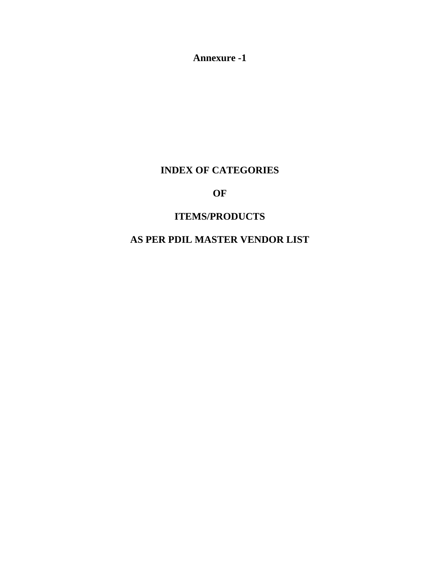**Annexure -1** 

# **INDEX OF CATEGORIES**

# **OF**

# **ITEMS/PRODUCTS**

# **AS PER PDIL MASTER VENDOR LIST**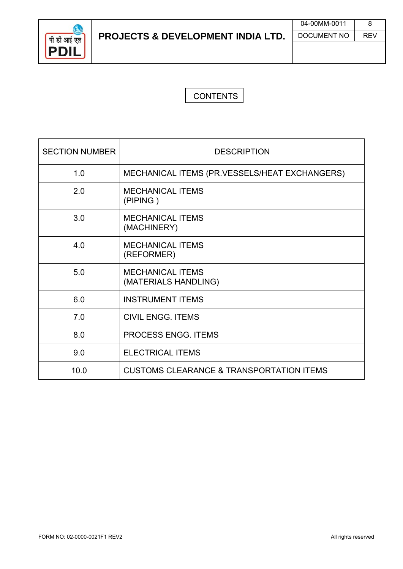

# **CONTENTS**

| <b>SECTION NUMBER</b> | <b>DESCRIPTION</b>                                  |
|-----------------------|-----------------------------------------------------|
| 1.0                   | MECHANICAL ITEMS (PR.VESSELS/HEAT EXCHANGERS)       |
| 2.0                   | <b>MECHANICAL ITEMS</b><br>(PIPING)                 |
| 3.0                   | <b>MECHANICAL ITEMS</b><br>(MACHINERY)              |
| 4.0                   | <b>MECHANICAL ITEMS</b><br>(REFORMER)               |
| 5.0                   | <b>MECHANICAL ITEMS</b><br>(MATERIALS HANDLING)     |
| 6.0                   | <b>INSTRUMENT ITEMS</b>                             |
| 7.0                   | <b>CIVIL ENGG. ITEMS</b>                            |
| 8.0                   | <b>PROCESS ENGG. ITEMS</b>                          |
| 9.0                   | <b>ELECTRICAL ITEMS</b>                             |
| 10.0                  | <b>CUSTOMS CLEARANCE &amp; TRANSPORTATION ITEMS</b> |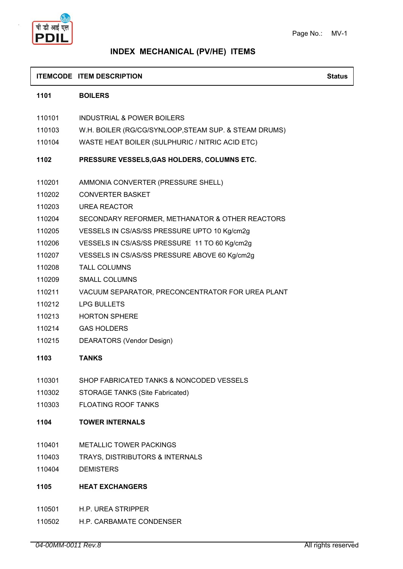

# **INDEX MECHANICAL (PV/HE) ITEMS**

#### **ITEMCODE ITEM DESCRIPTION Status**

| 1101   | <b>BOILERS</b>                                        |
|--------|-------------------------------------------------------|
| 110101 | <b>INDUSTRIAL &amp; POWER BOILERS</b>                 |
| 110103 | W.H. BOILER (RG/CG/SYNLOOP, STEAM SUP. & STEAM DRUMS) |
| 110104 | WASTE HEAT BOILER (SULPHURIC / NITRIC ACID ETC)       |
| 1102   | PRESSURE VESSELS, GAS HOLDERS, COLUMNS ETC.           |
| 110201 | AMMONIA CONVERTER (PRESSURE SHELL)                    |
| 110202 | <b>CONVERTER BASKET</b>                               |
| 110203 | <b>UREA REACTOR</b>                                   |
| 110204 | SECONDARY REFORMER, METHANATOR & OTHER REACTORS       |
| 110205 | VESSELS IN CS/AS/SS PRESSURE UPTO 10 Kg/cm2g          |
| 110206 | VESSELS IN CS/AS/SS PRESSURE 11 TO 60 Kg/cm2g         |
| 110207 | VESSELS IN CS/AS/SS PRESSURE ABOVE 60 Kg/cm2g         |
| 110208 | <b>TALL COLUMNS</b>                                   |
| 110209 | <b>SMALL COLUMNS</b>                                  |
| 110211 | VACUUM SEPARATOR, PRECONCENTRATOR FOR UREA PLANT      |
| 110212 | <b>LPG BULLETS</b>                                    |
| 110213 | <b>HORTON SPHERE</b>                                  |
| 110214 | <b>GAS HOLDERS</b>                                    |
| 110215 | DEARATORS (Vendor Design)                             |
| 1103   | <b>TANKS</b>                                          |
| 110301 | SHOP FABRICATED TANKS & NONCODED VESSELS              |
| 110302 | <b>STORAGE TANKS (Site Fabricated)</b>                |
| 110303 | <b>FLOATING ROOF TANKS</b>                            |
| 1104   | <b>TOWER INTERNALS</b>                                |
| 110401 | <b>METALLIC TOWER PACKINGS</b>                        |
| 110403 | TRAYS, DISTRIBUTORS & INTERNALS                       |
| 110404 | <b>DEMISTERS</b>                                      |
| 1105   | <b>HEAT EXCHANGERS</b>                                |
| 110501 | H.P. UREA STRIPPER                                    |

110502 H.P. CARBAMATE CONDENSER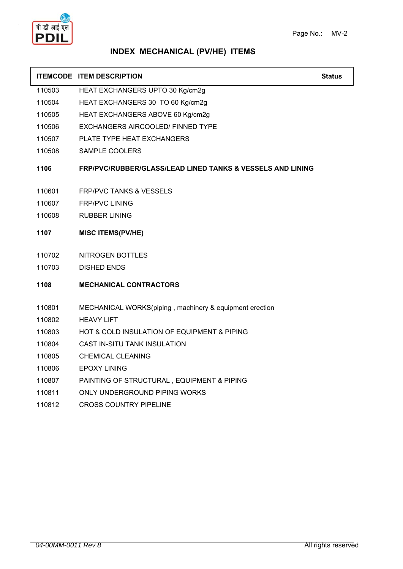

### **INDEX MECHANICAL (PV/HE) ITEMS**

| <b>ITEMCODE ITEM DESCRIPTION</b> | <b>Status</b> |  |
|----------------------------------|---------------|--|
|                                  |               |  |

- 110503 HEAT EXCHANGERS UPTO 30 Kg/cm2g
- 110504 HEAT EXCHANGERS 30 TO 60 Kg/cm2g
- 110505 HEAT EXCHANGERS ABOVE 60 Kg/cm2g
- 110506 EXCHANGERS AIRCOOLED/ FINNED TYPE
- 110507 PLATE TYPE HEAT EXCHANGERS
- 110508 SAMPLE COOLERS

#### **1106 FRP/PVC/RUBBER/GLASS/LEAD LINED TANKS & VESSELS AND LINING**

- 110601 FRP/PVC TANKS & VESSELS
- 110607 FRP/PVC LINING
- 110608 RUBBER LINING
- **1107 MISC ITEMS(PV/HE)**
- 110702 NITROGEN BOTTLES
- 110703 DISHED ENDS
- **1108 MECHANICAL CONTRACTORS**
- 110801 MECHANICAL WORKS(piping , machinery & equipment erection
- 110802 HEAVY LIFT
- 110803 HOT & COLD INSULATION OF EQUIPMENT & PIPING
- 110804 CAST IN-SITU TANK INSULATION
- 110805 CHEMICAL CLEANING
- 110806 EPOXY LINING
- 110807 PAINTING OF STRUCTURAL , EQUIPMENT & PIPING
- 110811 ONLY UNDERGROUND PIPING WORKS
- 110812 CROSS COUNTRY PIPELINE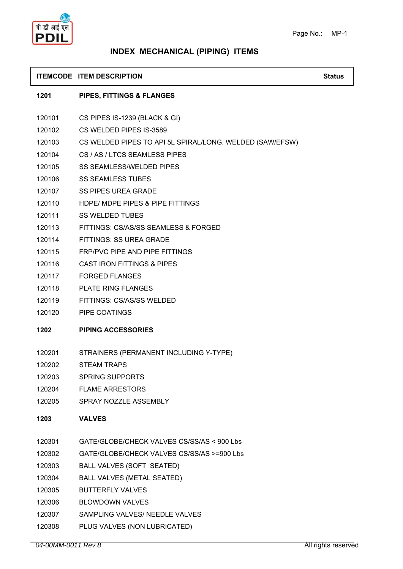

# **INDEX MECHANICAL (PIPING) ITEMS**

#### **ITEMCODE ITEM DESCRIPTION Status**

| 1201   | <b>PIPES, FITTINGS &amp; FLANGES</b>                     |
|--------|----------------------------------------------------------|
| 120101 | CS PIPES IS-1239 (BLACK & GI)                            |
| 120102 | CS WELDED PIPES IS-3589                                  |
| 120103 | CS WELDED PIPES TO API 5L SPIRAL/LONG. WELDED (SAW/EFSW) |
| 120104 | CS / AS / LTCS SEAMLESS PIPES                            |
| 120105 | <b>SS SEAMLESS/WELDED PIPES</b>                          |
| 120106 | <b>SS SEAMLESS TUBES</b>                                 |
| 120107 | <b>SS PIPES UREA GRADE</b>                               |
| 120110 | HDPE/ MDPE PIPES & PIPE FITTINGS                         |
| 120111 | <b>SS WELDED TUBES</b>                                   |
| 120113 | FITTINGS: CS/AS/SS SEAMLESS & FORGED                     |
| 120114 | FITTINGS: SS UREA GRADE                                  |
| 120115 | <b>FRP/PVC PIPE AND PIPE FITTINGS</b>                    |
| 120116 | <b>CAST IRON FITTINGS &amp; PIPES</b>                    |
| 120117 | <b>FORGED FLANGES</b>                                    |
| 120118 | <b>PLATE RING FLANGES</b>                                |
| 120119 | FITTINGS: CS/AS/SS WELDED                                |
| 120120 | PIPE COATINGS                                            |
| 1202   | <b>PIPING ACCESSORIES</b>                                |
| 120201 | STRAINERS (PERMANENT INCLUDING Y-TYPE)                   |
| 120202 | <b>STEAM TRAPS</b>                                       |
| 120203 | <b>SPRING SUPPORTS</b>                                   |
| 120204 | <b>FLAME ARRESTORS</b>                                   |
| 120205 | SPRAY NOZZLE ASSEMBLY                                    |
| 1203   | <b>VALVES</b>                                            |
| 120301 | GATE/GLOBE/CHECK VALVES CS/SS/AS < 900 Lbs               |
| 120302 | GATE/GLOBE/CHECK VALVES CS/SS/AS >=900 Lbs               |
| 120303 | BALL VALVES (SOFT SEATED)                                |
| 120304 | <b>BALL VALVES (METAL SEATED)</b>                        |
| 120305 | <b>BUTTERFLY VALVES</b>                                  |
| 120306 | <b>BLOWDOWN VALVES</b>                                   |
| 120307 | SAMPLING VALVES/ NEEDLE VALVES                           |
| 120308 | PLUG VALVES (NON LUBRICATED)                             |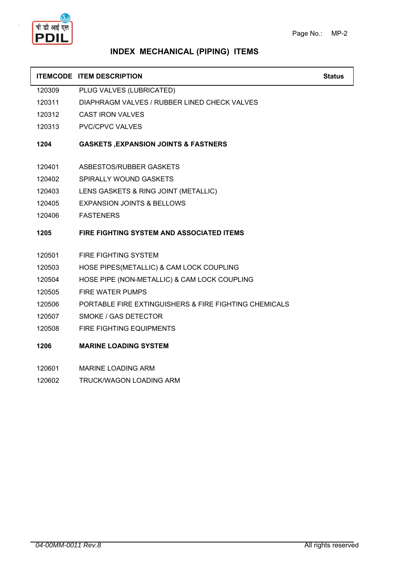

### **INDEX MECHANICAL (PIPING) ITEMS**

#### **ITEMCODE ITEM DESCRIPTION Status Status Status**

120309 PLUG VALVES (LUBRICATED)

- 120311 DIAPHRAGM VALVES / RUBBER LINED CHECK VALVES
- 120312 CAST IRON VALVES
- 120313 PVC/CPVC VALVES

#### **1204 GASKETS ,EXPANSION JOINTS & FASTNERS**

- 120401 ASBESTOS/RUBBER GASKETS
- 120402 SPIRALLY WOUND GASKETS
- 120403 LENS GASKETS & RING JOINT (METALLIC)
- 120405 EXPANSION JOINTS & BELLOWS
- 120406 FASTENERS

### **1205 FIRE FIGHTING SYSTEM AND ASSOCIATED ITEMS**

- 120501 FIRE FIGHTING SYSTEM
- 120503 HOSE PIPES(METALLIC) & CAM LOCK COUPLING
- 120504 HOSE PIPE (NON-METALLIC) & CAM LOCK COUPLING
- 120505 FIRE WATER PUMPS
- 120506 PORTABLE FIRE EXTINGUISHERS & FIRE FIGHTING CHEMICALS
- 120507 SMOKE / GAS DETECTOR
- 120508 FIRE FIGHTING EQUIPMENTS
- **1206 MARINE LOADING SYSTEM**
- 120601 MARINE LOADING ARM
- 120602 TRUCK/WAGON LOADING ARM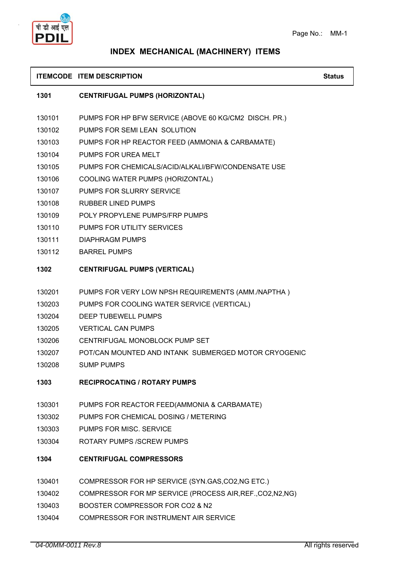

### **INDEX MECHANICAL (MACHINERY) ITEMS**

#### **ITEMCODE ITEM DESCRIPTION Status Status Status**

#### **1301 CENTRIFUGAL PUMPS (HORIZONTAL)**

- 130101 PUMPS FOR HP BFW SERVICE (ABOVE 60 KG/CM2 DISCH. PR.)
- 130102 PUMPS FOR SEMI LEAN SOLUTION
- 130103 PUMPS FOR HP REACTOR FEED (AMMONIA & CARBAMATE)
- 130104 PUMPS FOR UREA MELT
- 130105 PUMPS FOR CHEMICALS/ACID/ALKALI/BFW/CONDENSATE USE
- 130106 COOLING WATER PUMPS (HORIZONTAL)
- 130107 PUMPS FOR SLURRY SERVICE
- 130108 RUBBER LINED PUMPS
- 130109 POLY PROPYLENE PUMPS/FRP PUMPS
- 130110 PUMPS FOR UTILITY SERVICES
- 130111 DIAPHRAGM PUMPS
- 130112 BARREL PUMPS

#### **1302 CENTRIFUGAL PUMPS (VERTICAL)**

- 130201 PUMPS FOR VERY LOW NPSH REQUIREMENTS (AMM./NAPTHA )
- 130203 PUMPS FOR COOLING WATER SERVICE (VERTICAL)
- 130204 DEEP TUBEWELL PUMPS
- 130205 VERTICAL CAN PUMPS
- 130206 CENTRIFUGAL MONOBLOCK PUMP SET
- 130207 POT/CAN MOUNTED AND INTANK SUBMERGED MOTOR CRYOGENIC
- 130208 SUMP PUMPS
- **1303 RECIPROCATING / ROTARY PUMPS**
- 130301 PUMPS FOR REACTOR FEED(AMMONIA & CARBAMATE)
- 130302 PUMPS FOR CHEMICAL DOSING / METERING
- 130303 PUMPS FOR MISC. SERVICE
- 130304 ROTARY PUMPS /SCREW PUMPS

#### **1304 CENTRIFUGAL COMPRESSORS**

- 130401 COMPRESSOR FOR HP SERVICE (SYN.GAS,CO2,NG ETC.)
- 130402 COMPRESSOR FOR MP SERVICE (PROCESS AIR,REF.,CO2,N2,NG)
- 130403 BOOSTER COMPRESSOR FOR CO2 & N2
- 130404 COMPRESSOR FOR INSTRUMENT AIR SERVICE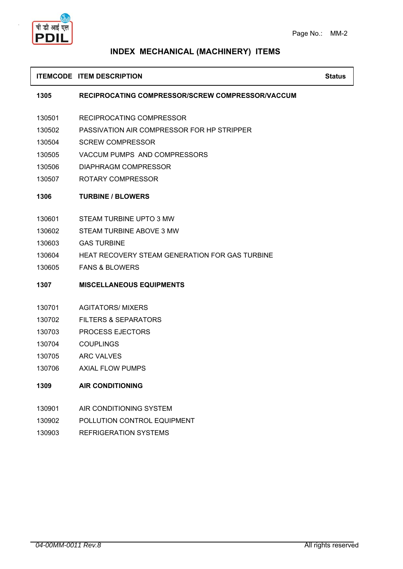

### **INDEX MECHANICAL (MACHINERY) ITEMS**

#### **ITEMCODE ITEM DESCRIPTION Status Status Status**

**1305 RECIPROCATING COMPRESSOR/SCREW COMPRESSOR/VACCUM**

- 130501 RECIPROCATING COMPRESSOR
- 130502 PASSIVATION AIR COMPRESSOR FOR HP STRIPPER
- 130504 SCREW COMPRESSOR
- 130505 VACCUM PUMPS AND COMPRESSORS
- 130506 DIAPHRAGM COMPRESSOR
- 130507 ROTARY COMPRESSOR
- **1306 TURBINE / BLOWERS**
- 130601 STEAM TURBINE UPTO 3 MW
- 130602 STEAM TURBINE ABOVE 3 MW
- 130603 GAS TURBINE
- 130604 HEAT RECOVERY STEAM GENERATION FOR GAS TURBINE
- 130605 FANS & BLOWERS
- **1307 MISCELLANEOUS EQUIPMENTS**
- 130701 AGITATORS/ MIXERS
- 130702 FILTERS & SEPARATORS
- 130703 PROCESS EJECTORS
- 130704 COUPLINGS
- 130705 ARC VALVES
- 130706 AXIAL FLOW PUMPS

### **1309 AIR CONDITIONING**

- 130901 AIR CONDITIONING SYSTEM
- 130902 POLLUTION CONTROL EQUIPMENT
- 130903 REFRIGERATION SYSTEMS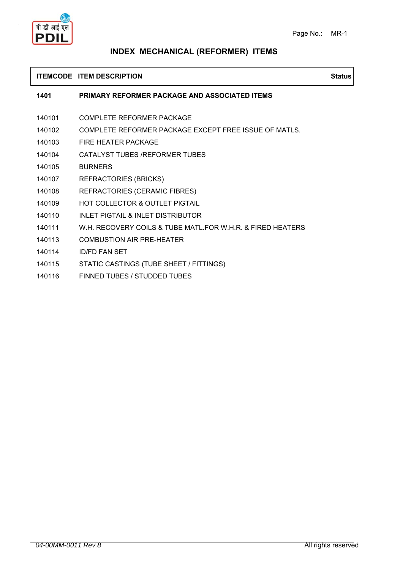

# **INDEX MECHANICAL (REFORMER) ITEMS**

#### **ITEMCODE ITEM DESCRIPTION Status**

| 1401   | <b>PRIMARY REFORMER PACKAGE AND ASSOCIATED ITEMS</b>       |
|--------|------------------------------------------------------------|
| 140101 | COMPLETE REFORMER PACKAGE                                  |
| 140102 | COMPLETE REFORMER PACKAGE EXCEPT FREE ISSUE OF MATLS.      |
| 140103 | FIRE HEATER PACKAGE                                        |
| 140104 | CATALYST TUBES / REFORMER TUBES                            |
| 140105 | <b>BURNERS</b>                                             |
| 140107 | <b>REFRACTORIES (BRICKS)</b>                               |
| 140108 | REFRACTORIES (CERAMIC FIBRES)                              |
| 140109 | HOT COLLECTOR & OUTLET PIGTAIL                             |
| 140110 | INLET PIGTAIL & INLET DISTRIBUTOR                          |
| 140111 | W.H. RECOVERY COILS & TUBE MATL FOR W.H.R. & FIRED HEATERS |
| 140113 | COMBUSTION AIR PRE-HEATER                                  |
| 140114 | <b>ID/FD FAN SET</b>                                       |

- 140115 STATIC CASTINGS (TUBE SHEET / FITTINGS)
- 140116 FINNED TUBES / STUDDED TUBES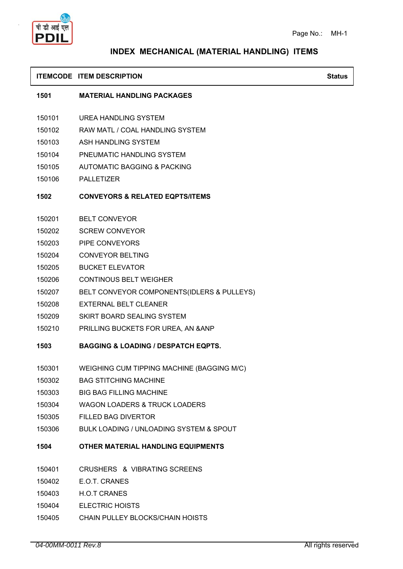

# **INDEX MECHANICAL (MATERIAL HANDLING) ITEMS**

### **ITEMCODE ITEM DESCRIPTION Status Status**

|        | 1501 MATERIAL HANDLING PACKAGES                   |
|--------|---------------------------------------------------|
|        | 150101 UREA HANDLING SYSTEM                       |
|        | 150102 RAW MATL / COAL HANDLING SYSTEM            |
|        | 150103 ASH HANDLING SYSTEM                        |
|        | 150104 PNEUMATIC HANDLING SYSTEM                  |
|        | 150105 AUTOMATIC BAGGING & PACKING                |
|        | 150106 PALLETIZER                                 |
|        | 1502 CONVEYORS & RELATED EQPTS/ITEMS              |
|        | 150201 BELT CONVEYOR                              |
|        | 150202 SCREW CONVEYOR                             |
|        | 150203 PIPE CONVEYORS                             |
|        | 150204 CONVEYOR BELTING                           |
|        | 150205 BUCKET ELEVATOR                            |
|        | 150206 CONTINOUS BELT WEIGHER                     |
|        | 150207 BELT CONVEYOR COMPONENTS(IDLERS & PULLEYS) |
|        | 150208 EXTERNAL BELT CLEANER                      |
|        | 150209 SKIRT BOARD SEALING SYSTEM                 |
|        | 150210 PRILLING BUCKETS FOR UREA, AN & ANP        |
| 1503   | <b>BAGGING &amp; LOADING / DESPATCH EQPTS.</b>    |
|        | 150301 WEIGHING CUM TIPPING MACHINE (BAGGING M/C) |
|        | 150302 BAG STITCHING MACHINE                      |
| 150303 | <b>BIG BAG FILLING MACHINE</b>                    |
| 150304 | <b>WAGON LOADERS &amp; TRUCK LOADERS</b>          |
| 150305 | <b>FILLED BAG DIVERTOR</b>                        |
| 150306 | BULK LOADING / UNLOADING SYSTEM & SPOUT           |
| 1504   | OTHER MATERIAL HANDLING EQUIPMENTS                |
| 150401 | CRUSHERS & VIBRATING SCREENS                      |
| 150402 | E.O.T. CRANES                                     |
| 150403 | <b>H.O.T CRANES</b>                               |
| 150404 | <b>ELECTRIC HOISTS</b>                            |
| 150405 | CHAIN PULLEY BLOCKS/CHAIN HOISTS                  |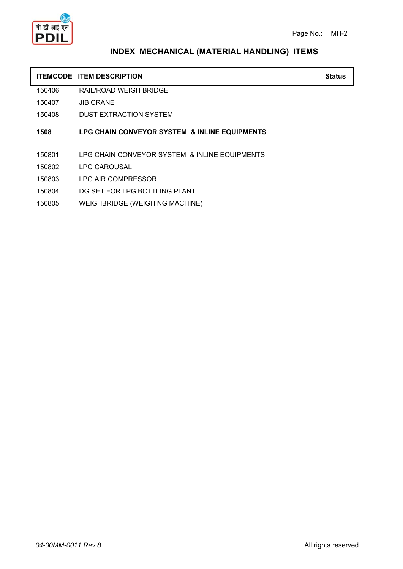

### **INDEX MECHANICAL (MATERIAL HANDLING) ITEMS**

### **ITEMCODE ITEM DESCRIPTION Status**

150406 RAIL/ROAD WEIGH BRIDGE

150407 JIB CRANE

150408 DUST EXTRACTION SYSTEM

**1508 LPG CHAIN CONVEYOR SYSTEM & INLINE EQUIPMENTS**

- 150801 LPG CHAIN CONVEYOR SYSTEM & INLINE EQUIPMENTS
- 150802 LPG CAROUSAL
- 150803 LPG AIR COMPRESSOR
- 150804 DG SET FOR LPG BOTTLING PLANT
- 150805 WEIGHBRIDGE (WEIGHING MACHINE)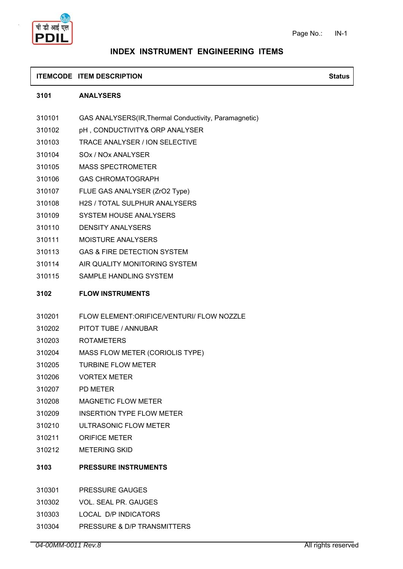

#### **ITEMCODE ITEM DESCRIPTION Status Status Status**

#### **3101 ANALYSERS**

- 310101 GAS ANALYSERS(IR,Thermal Conductivity, Paramagnetic)
- 310102 pH , CONDUCTIVITY& ORP ANALYSER
- 310103 TRACE ANALYSER / ION SELECTIVE
- 310104 SOx / NOx ANALYSER
- 310105 MASS SPECTROMETER
- 310106 GAS CHROMATOGRAPH
- 310107 FLUE GAS ANALYSER (ZrO2 Type)
- 310108 H2S / TOTAL SULPHUR ANALYSERS
- 310109 SYSTEM HOUSE ANALYSERS
- 310110 DENSITY ANALYSERS
- 310111 MOISTURE ANALYSERS
- 310113 GAS & FIRE DETECTION SYSTEM
- 310114 AIR QUALITY MONITORING SYSTEM
- 310115 SAMPLE HANDLING SYSTEM

#### **3102 FLOW INSTRUMENTS**

- 310201 FLOW ELEMENT:ORIFICE/VENTURI/ FLOW NOZZLE
- 310202 PITOT TUBE / ANNUBAR
- 310203 ROTAMETERS
- 310204 MASS FLOW METER (CORIOLIS TYPE)
- 310205 TURBINE FLOW METER
- 310206 VORTEX METER
- 310207 PD METER
- 310208 MAGNETIC FLOW METER
- 310209 INSERTION TYPE FLOW METER
- 310210 ULTRASONIC FLOW METER
- 310211 ORIFICE METER
- 310212 METERING SKID
- **3103 PRESSURE INSTRUMENTS**
- 310301 PRESSURE GAUGES
- 310302 VOL. SEAL PR. GAUGES
- 310303 LOCAL D/P INDICATORS
- 310304 PRESSURE & D/P TRANSMITTERS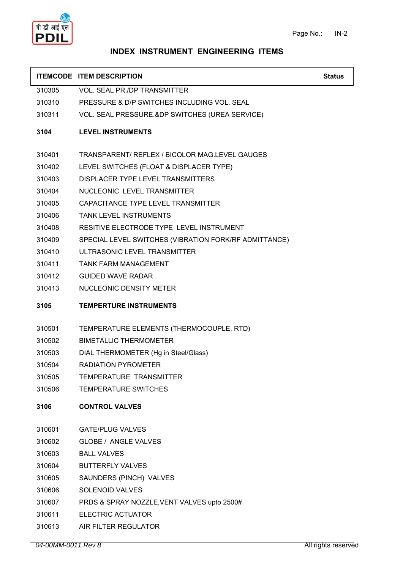

#### **ITEMCODE ITEM DESCRIPTION Status Status Status**

| 310305 | VOL. SEAL PR./DP TRANSMITTER |  |
|--------|------------------------------|--|
|--------|------------------------------|--|

- 310310 PRESSURE & D/P SWITCHES INCLUDING VOL. SEAL
- 310311 VOL. SEAL PRESSURE.&DP SWITCHES (UREA SERVICE)

#### **3104 LEVEL INSTRUMENTS**

- 310401 TRANSPARENT/ REFLEX / BICOLOR MAG.LEVEL GAUGES
- 310402 LEVEL SWITCHES (FLOAT & DISPLACER TYPE)
- 310403 DISPLACER TYPE LEVEL TRANSMITTERS
- 310404 NUCLEONIC LEVEL TRANSMITTER
- 310405 CAPACITANCE TYPE LEVEL TRANSMITTER
- 310406 TANK LEVEL INSTRUMENTS
- 310408 RESITIVE ELECTRODE TYPE LEVEL INSTRUMENT
- 310409 SPECIAL LEVEL SWITCHES (VIBRATION FORK/RF ADMITTANCE)
- 310410 ULTRASONIC LEVEL TRANSMITTER
- 310411 TANK FARM MANAGEMENT
- 310412 GUIDED WAVE RADAR
- 310413 NUCLEONIC DENSITY METER
- **3105 TEMPERTURE INSTRUMENTS**
- 310501 TEMPERATURE ELEMENTS (THERMOCOUPLE, RTD)
- 310502 BIMETALLIC THERMOMETER
- 310503 DIAL THERMOMETER (Hg in Steel/Glass)
- 310504 RADIATION PYROMETER
- 310505 TEMPERATURE TRANSMITTER
- 310506 TEMPERATURE SWITCHES

#### **3106 CONTROL VALVES**

- 310601 GATE/PLUG VALVES
- 310602 GLOBE / ANGLE VALVES
- 310603 BALL VALVES
- 310604 BUTTERFLY VALVES
- 310605 SAUNDERS (PINCH) VALVES
- 310606 SOLENOID VALVES
- 310607 PRDS & SPRAY NOZZLE,VENT VALVES upto 2500#
- 310611 ELECTRIC ACTUATOR
- 310613 AIR FILTER REGULATOR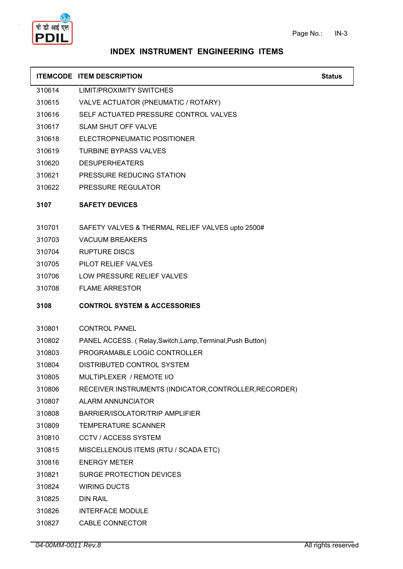

| <b>ITEMCODE ITEM DESCRIPTION</b> | <b>Status</b> |
|----------------------------------|---------------|
|                                  |               |

- 310614 LIMIT/PROXIMITY SWITCHES
- 310615 VALVE ACTUATOR (PNEUMATIC / ROTARY)
- 310616 SELF ACTUATED PRESSURE CONTROL VALVES
- 310617 SLAM SHUT OFF VALVE
- 310618 ELECTROPNEUMATIC POSITIONER
- 310619 TURBINE BYPASS VALVES
- 310620 DESUPERHEATERS
- 310621 PRESSURE REDUCING STATION
- 310622 PRESSURE REGULATOR

#### **3107 SAFETY DEVICES**

- 310701 SAFETY VALVES & THERMAL RELIEF VALVES upto 2500#
- 310703 VACUUM BREAKERS
- 310704 RUPTURE DISCS
- 310705 PILOT RELIEF VALVES
- 310706 LOW PRESSURE RELIEF VALVES
- 310708 FLAME ARRESTOR

#### **3108 CONTROL SYSTEM & ACCESSORIES**

- 310801 CONTROL PANEL
- 310802 PANEL ACCESS. ( Relay,Switch,Lamp,Terminal,Push Button)
- 310803 PROGRAMABLE LOGIC CONTROLLER
- 310804 DISTRIBUTED CONTROL SYSTEM
- 310805 MULTIPLEXER / REMOTE I/O
- 310806 RECEIVER INSTRUMENTS (INDICATOR,CONTROLLER,RECORDER)
- 310807 ALARM ANNUNCIATOR
- 310808 BARRIER/ISOLATOR/TRIP AMPLIFIER
- 310809 TEMPERATURE SCANNER
- 310810 CCTV / ACCESS SYSTEM
- 310815 MISCELLENOUS ITEMS (RTU / SCADA ETC)
- 310816 ENERGY METER
- 310821 SURGE PROTECTION DEVICES
- 310824 WIRING DUCTS
- 310825 DIN RAIL
- 310826 INTERFACE MODULE
- 310827 CABLE CONNECTOR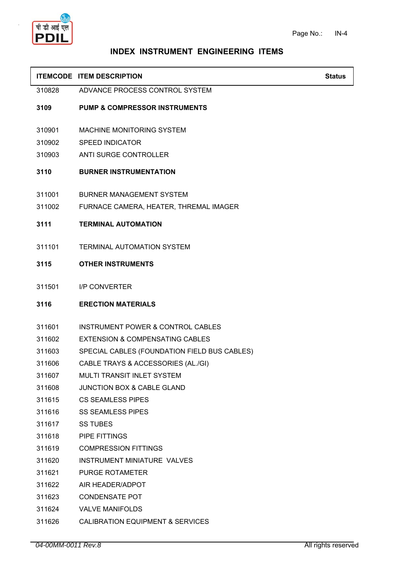

|        | <b>ITEMCODE ITEM DESCRIPTION</b>             | <b>Status</b> |
|--------|----------------------------------------------|---------------|
| 310828 | ADVANCE PROCESS CONTROL SYSTEM               |               |
| 3109   | <b>PUMP &amp; COMPRESSOR INSTRUMENTS</b>     |               |
| 310901 | MACHINE MONITORING SYSTEM                    |               |
| 310902 | <b>SPEED INDICATOR</b>                       |               |
| 310903 | <b>ANTI SURGE CONTROLLER</b>                 |               |
| 3110   | <b>BURNER INSTRUMENTATION</b>                |               |
| 311001 | <b>BURNER MANAGEMENT SYSTEM</b>              |               |
| 311002 | FURNACE CAMERA, HEATER, THREMAL IMAGER       |               |
| 3111   | <b>TERMINAL AUTOMATION</b>                   |               |
| 311101 | TERMINAL AUTOMATION SYSTEM                   |               |
| 3115   | <b>OTHER INSTRUMENTS</b>                     |               |
| 311501 | <b>I/P CONVERTER</b>                         |               |
| 3116   | <b>ERECTION MATERIALS</b>                    |               |
| 311601 | <b>INSTRUMENT POWER &amp; CONTROL CABLES</b> |               |
| 311602 | <b>EXTENSION &amp; COMPENSATING CABLES</b>   |               |
| 311603 | SPECIAL CABLES (FOUNDATION FIELD BUS CABLES) |               |
| 311606 | CABLE TRAYS & ACCESSORIES (AL./GI)           |               |
| 311607 | MULTI TRANSIT INLET SYSTEM                   |               |
| 311608 | <b>JUNCTION BOX &amp; CABLE GLAND</b>        |               |
| 311615 | <b>CS SEAMLESS PIPES</b>                     |               |
| 311616 | <b>SS SEAMLESS PIPES</b>                     |               |
| 311617 | <b>SS TUBES</b>                              |               |
| 311618 | PIPE FITTINGS                                |               |
| 311619 | <b>COMPRESSION FITTINGS</b>                  |               |
| 311620 | <b>INSTRUMENT MINIATURE VALVES</b>           |               |
| 311621 | PURGE ROTAMETER                              |               |
| 311622 | AIR HEADER/ADPOT                             |               |
| 311623 | <b>CONDENSATE POT</b>                        |               |
| 311624 | <b>VALVE MANIFOLDS</b>                       |               |
| 311626 | <b>CALIBRATION EQUIPMENT &amp; SERVICES</b>  |               |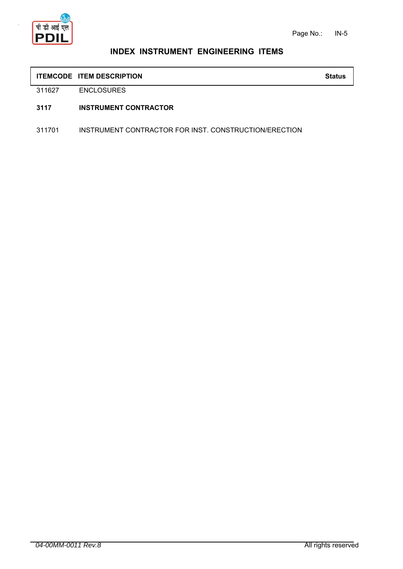

#### **ITEMCODE ITEM DESCRIPTION Status**

311627 ENCLOSURES

#### **3117 INSTRUMENT CONTRACTOR**

311701 INSTRUMENT CONTRACTOR FOR INST. CONSTRUCTION/ERECTION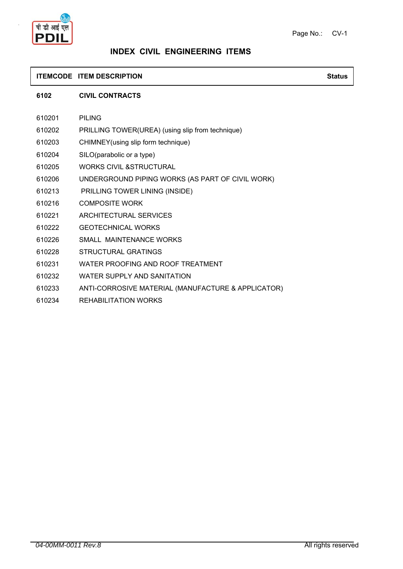



### **INDEX CIVIL ENGINEERING ITEMS**

#### **ITEMCODE ITEM DESCRIPTION Status**

#### **6102 CIVIL CONTRACTS**

| 610201 | <b>PILING</b>                                      |
|--------|----------------------------------------------------|
| 610202 | PRILLING TOWER(UREA) (using slip from technique)   |
| 610203 | CHIMNEY (using slip form technique)                |
| 610204 | SILO(parabolic or a type)                          |
| 610205 | <b>WORKS CIVIL &amp;STRUCTURAL</b>                 |
| 610206 | UNDERGROUND PIPING WORKS (AS PART OF CIVIL WORK)   |
| 610213 | PRILLING TOWER LINING (INSIDE)                     |
| 610216 | <b>COMPOSITE WORK</b>                              |
| 610221 | ARCHITECTURAL SERVICES                             |
| 610222 | <b>GEOTECHNICAL WORKS</b>                          |
| 610226 | SMALL MAINTENANCE WORKS                            |
| 610228 | STRUCTURAL GRATINGS                                |
| 610231 | WATER PROOFING AND ROOF TREATMENT                  |
| 610232 | WATER SUPPLY AND SANITATION                        |
| 610233 | ANTI-CORROSIVE MATERIAL (MANUFACTURE & APPLICATOR) |
|        |                                                    |

610234 REHABILITATION WORKS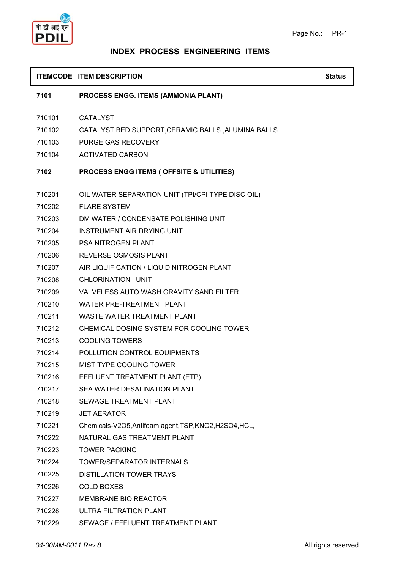

### **INDEX PROCESS ENGINEERING ITEMS**

#### **ITEMCODE ITEM DESCRIPTION Status Status Status**

**7101 PROCESS ENGG. ITEMS (AMMONIA PLANT)**

- 710101 CATALYST
- 710102 CATALYST BED SUPPORT,CERAMIC BALLS ,ALUMINA BALLS
- 710103 PURGE GAS RECOVERY
- 710104 ACTIVATED CARBON

#### **7102 PROCESS ENGG ITEMS ( OFFSITE & UTILITIES)**

- 710201 OIL WATER SEPARATION UNIT (TPI/CPI TYPE DISC OIL)
- 710202 FLARE SYSTEM
- 710203 DM WATER / CONDENSATE POLISHING UNIT
- 710204 INSTRUMENT AIR DRYING UNIT
- 710205 PSA NITROGEN PLANT
- 710206 REVERSE OSMOSIS PLANT
- 710207 AIR LIQUIFICATION / LIQUID NITROGEN PLANT
- 710208 CHLORINATION UNIT
- 710209 VALVELESS AUTO WASH GRAVITY SAND FILTER
- 710210 WATER PRE-TREATMENT PLANT
- 710211 WASTE WATER TREATMENT PLANT
- 710212 CHEMICAL DOSING SYSTEM FOR COOLING TOWER
- 710213 COOLING TOWERS
- 710214 POLLUTION CONTROL EQUIPMENTS
- 710215 MIST TYPE COOLING TOWER
- 710216 EFFLUENT TREATMENT PLANT (ETP)
- 710217 SEA WATER DESALINATION PLANT
- 710218 SEWAGE TREATMENT PLANT
- 710219 JET AERATOR
- 710221 Chemicals-V2O5,Antifoam agent,TSP,KNO2,H2SO4,HCL,
- 710222 NATURAL GAS TREATMENT PLANT
- 710223 TOWER PACKING
- 710224 TOWER/SEPARATOR INTERNALS
- 710225 DISTILLATION TOWER TRAYS
- 710226 COLD BOXES
- 710227 MEMBRANE BIO REACTOR
- 710228 ULTRA FILTRATION PLANT
- 710229 SEWAGE / EFFLUENT TREATMENT PLANT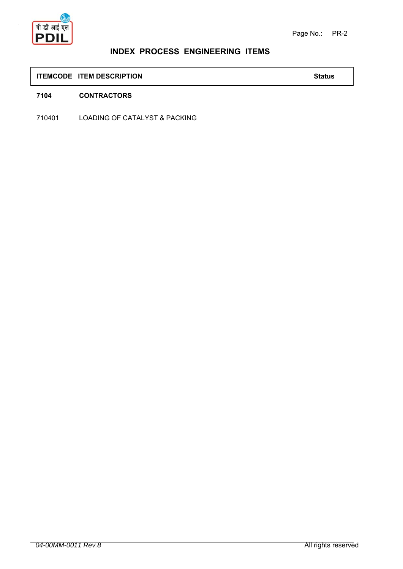

### **INDEX PROCESS ENGINEERING ITEMS**

### **ITEMCODE ITEM DESCRIPTION Status**

#### **7104 CONTRACTORS**

710401 LOADING OF CATALYST & PACKING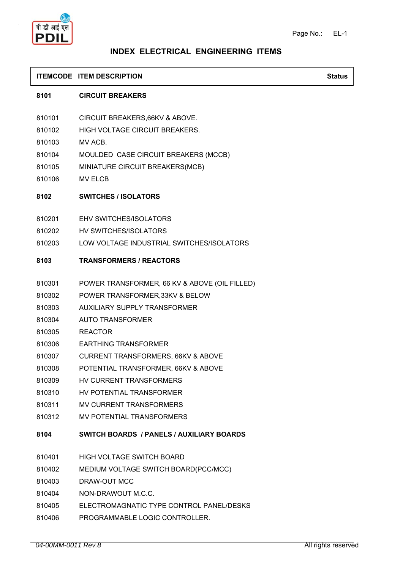

#### **ITEMCODE ITEM DESCRIPTION Status Status Status**

#### **8101 CIRCUIT BREAKERS**

- 810101 CIRCUIT BREAKERS,66KV & ABOVE.
- 810102 HIGH VOLTAGE CIRCUIT BREAKERS.
- 810103 MV ACB.
- 810104 MOULDED CASE CIRCUIT BREAKERS (MCCB)
- 810105 MINIATURE CIRCUIT BREAKERS(MCB)
- 810106 MV ELCB

#### **8102 SWITCHES / ISOLATORS**

- 810201 EHV SWITCHES/ISOLATORS
- 810202 HV SWITCHES/ISOLATORS
- 810203 LOW VOLTAGE INDUSTRIAL SWITCHES/ISOLATORS

#### **8103 TRANSFORMERS / REACTORS**

- 810301 POWER TRANSFORMER, 66 KV & ABOVE (OIL FILLED)
- 810302 POWER TRANSFORMER,33KV & BELOW
- 810303 AUXILIARY SUPPLY TRANSFORMER
- 810304 AUTO TRANSFORMER
- 810305 REACTOR
- 810306 EARTHING TRANSFORMER
- 810307 CURRENT TRANSFORMERS, 66KV & ABOVE
- 810308 POTENTIAL TRANSFORMER, 66KV & ABOVE
- 810309 HV CURRENT TRANSFORMERS
- 810310 HV POTENTIAL TRANSFORMER
- 810311 MV CURRENT TRANSFORMERS
- 810312 MV POTENTIAL TRANSFORMERS

#### **8104 SWITCH BOARDS / PANELS / AUXILIARY BOARDS**

- 810401 HIGH VOLTAGE SWITCH BOARD
- 810402 MEDIUM VOLTAGE SWITCH BOARD(PCC/MCC)
- 810403 DRAW-OUT MCC
- 810404 NON-DRAWOUT M.C.C.
- 810405 ELECTROMAGNATIC TYPE CONTROL PANEL/DESKS
- 810406 PROGRAMMABLE LOGIC CONTROLLER.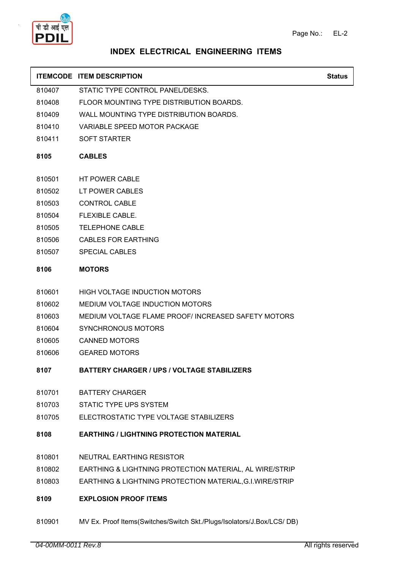

|        | <b>ITEMCODE ITEM DESCRIPTION</b>                          | <b>Status</b> |
|--------|-----------------------------------------------------------|---------------|
| 810407 | STATIC TYPE CONTROL PANEL/DESKS.                          |               |
| 810408 | FLOOR MOUNTING TYPE DISTRIBUTION BOARDS.                  |               |
| 810409 | WALL MOUNTING TYPE DISTRIBUTION BOARDS.                   |               |
| 810410 | VARIABLE SPEED MOTOR PACKAGE                              |               |
| 810411 | <b>SOFT STARTER</b>                                       |               |
| 8105   | <b>CABLES</b>                                             |               |
| 810501 | HT POWER CABLE                                            |               |
| 810502 | LT POWER CABLES                                           |               |
| 810503 | <b>CONTROL CABLE</b>                                      |               |
| 810504 | FLEXIBLE CABLE.                                           |               |
| 810505 | <b>TELEPHONE CABLE</b>                                    |               |
| 810506 | CABLES FOR EARTHING                                       |               |
| 810507 | <b>SPECIAL CABLES</b>                                     |               |
| 8106   | <b>MOTORS</b>                                             |               |
| 810601 | <b>HIGH VOLTAGE INDUCTION MOTORS</b>                      |               |
| 810602 | MEDIUM VOLTAGE INDUCTION MOTORS                           |               |
| 810603 | MEDIUM VOLTAGE FLAME PROOF/ INCREASED SAFETY MOTORS       |               |
| 810604 | SYNCHRONOUS MOTORS                                        |               |
| 810605 | <b>CANNED MOTORS</b>                                      |               |
| 810606 | <b>GEARED MOTORS</b>                                      |               |
| 8107   | <b>BATTERY CHARGER / UPS / VOLTAGE STABILIZERS</b>        |               |
| 810701 | <b>BATTERY CHARGER</b>                                    |               |
| 810703 | <b>STATIC TYPE UPS SYSTEM</b>                             |               |
| 810705 | ELECTROSTATIC TYPE VOLTAGE STABILIZERS                    |               |
| 8108   | <b>EARTHING / LIGHTNING PROTECTION MATERIAL</b>           |               |
| 810801 | NEUTRAL EARTHING RESISTOR                                 |               |
| 810802 | EARTHING & LIGHTNING PROTECTION MATERIAL, AL WIRE/STRIP   |               |
| 810803 | EARTHING & LIGHTNING PROTECTION MATERIAL, G.I. WIRE/STRIP |               |

- **8109 EXPLOSION PROOF ITEMS**
- 810901 MV Ex. Proof Items(Switches/Switch Skt./Plugs/Isolators/J.Box/LCS/ DB)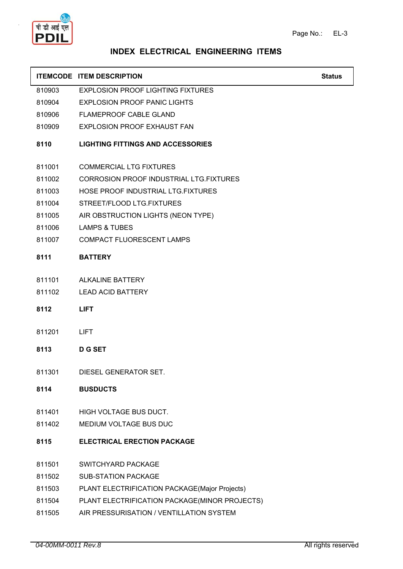

|        | <b>ITEMCODE ITEM DESCRIPTION</b>               | <b>Status</b> |
|--------|------------------------------------------------|---------------|
| 810903 | <b>EXPLOSION PROOF LIGHTING FIXTURES</b>       |               |
| 810904 | <b>EXPLOSION PROOF PANIC LIGHTS</b>            |               |
| 810906 | FLAMEPROOF CABLE GLAND                         |               |
| 810909 | <b>EXPLOSION PROOF EXHAUST FAN</b>             |               |
| 8110   | <b>LIGHTING FITTINGS AND ACCESSORIES</b>       |               |
| 811001 | <b>COMMERCIAL LTG FIXTURES</b>                 |               |
| 811002 | <b>CORROSION PROOF INDUSTRIAL LTG.FIXTURES</b> |               |
| 811003 | HOSE PROOF INDUSTRIAL LTG.FIXTURES             |               |
| 811004 | STREET/FLOOD LTG.FIXTURES                      |               |
| 811005 | AIR OBSTRUCTION LIGHTS (NEON TYPE)             |               |
| 811006 | <b>LAMPS &amp; TUBES</b>                       |               |
| 811007 | <b>COMPACT FLUORESCENT LAMPS</b>               |               |
| 8111   | <b>BATTERY</b>                                 |               |
| 811101 | <b>ALKALINE BATTERY</b>                        |               |
| 811102 | <b>LEAD ACID BATTERY</b>                       |               |
| 8112   | <b>LIFT</b>                                    |               |
| 811201 | <b>LIFT</b>                                    |               |
| 8113   | <b>D G SET</b>                                 |               |
| 811301 | DIESEL GENERATOR SET.                          |               |
| 8114   | <b>BUSDUCTS</b>                                |               |
| 811401 | HIGH VOLTAGE BUS DUCT.                         |               |
| 811402 | MEDIUM VOLTAGE BUS DUC                         |               |
| 8115   | <b>ELECTRICAL ERECTION PACKAGE</b>             |               |
| 811501 | SWITCHYARD PACKAGE                             |               |
| 811502 | <b>SUB-STATION PACKAGE</b>                     |               |
| 811503 | PLANT ELECTRIFICATION PACKAGE(Major Projects)  |               |
| 811504 | PLANT ELECTRIFICATION PACKAGE(MINOR PROJECTS)  |               |
| 811505 | AIR PRESSURISATION / VENTILLATION SYSTEM       |               |
|        |                                                |               |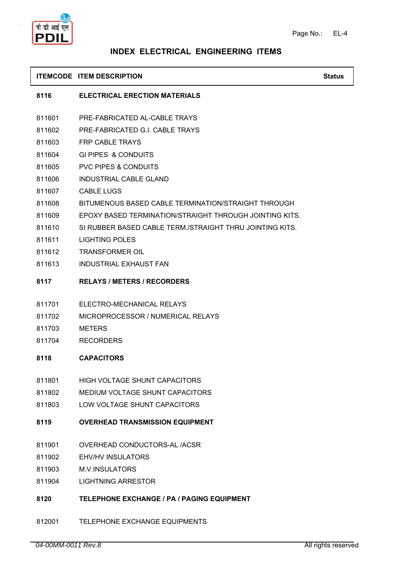

#### **ITEMCODE ITEM DESCRIPTION Status Status Status**

#### **8116 ELECTRICAL ERECTION MATERIALS**

- 811601 PRE-FABRICATED AL-CABLE TRAYS
- 811602 PRE-FABRICATED G.I. CABLE TRAYS
- 811603 FRP CABLE TRAYS
- 811604 GI PIPES & CONDUITS
- 811605 PVC PIPES & CONDUITS
- 811606 INDUSTRIAL CABLE GLAND
- 811607 CABLE LUGS
- 811608 BITUMENOUS BASED CABLE TERMINATION/STRAIGHT THROUGH
- 811609 EPOXY BASED TERMINATION/STRAIGHT THROUGH JOINTING KITS.
- 811610 SI RUBBER BASED CABLE TERM./STRAIGHT THRU JOINTING KITS.
- 811611 LIGHTING POLES
- 811612 TRANSFORMER OIL
- 811613 INDUSTRIAL EXHAUST FAN
- **8117 RELAYS / METERS / RECORDERS**
- 811701 ELECTRO-MECHANICAL RELAYS
- 811702 MICROPROCESSOR / NUMERICAL RELAYS
- 811703 METERS
- 811704 RECORDERS
- **8118 CAPACITORS**
- 811801 HIGH VOLTAGE SHUNT CAPACITORS
- 811802 MEDIUM VOLTAGE SHUNT CAPACITORS
- 811803 LOW VOLTAGE SHUNT CAPACITORS
- **8119 OVERHEAD TRANSMISSION EQUIPMENT**
- 811901 OVERHEAD CONDUCTORS-AL /ACSR
- 811902 EHV/HV INSULATORS
- 811903 M.V.INSULATORS
- 811904 LIGHTNING ARRESTOR
- **8120 TELEPHONE EXCHANGE / PA / PAGING EQUIPMENT**
- 812001 TELEPHONE EXCHANGE EQUIPMENTS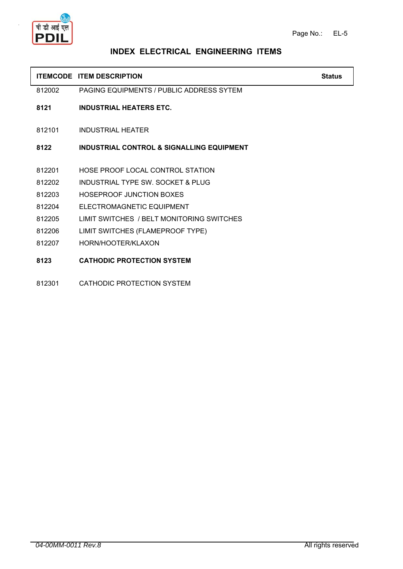

| <b>ITEMCODE ITEM DESCRIPTION</b> | Status |
|----------------------------------|--------|
|                                  |        |

812002 PAGING EQUIPMENTS / PUBLIC ADDRESS SYTEM

- **8121 INDUSTRIAL HEATERS ETC.**
- 812101 INDUSTRIAL HEATER

**8122 INDUSTRIAL CONTROL & SIGNALLING EQUIPMENT**

- 812201 HOSE PROOF LOCAL CONTROL STATION
- 812202 INDUSTRIAL TYPE SW. SOCKET & PLUG
- 812203 HOSEPROOF JUNCTION BOXES
- 812204 ELECTROMAGNETIC EQUIPMENT
- 812205 LIMIT SWITCHES / BELT MONITORING SWITCHES
- 812206 LIMIT SWITCHES (FLAMEPROOF TYPE)
- 812207 HORN/HOOTER/KLAXON
- **8123 CATHODIC PROTECTION SYSTEM**
- 812301 CATHODIC PROTECTION SYSTEM